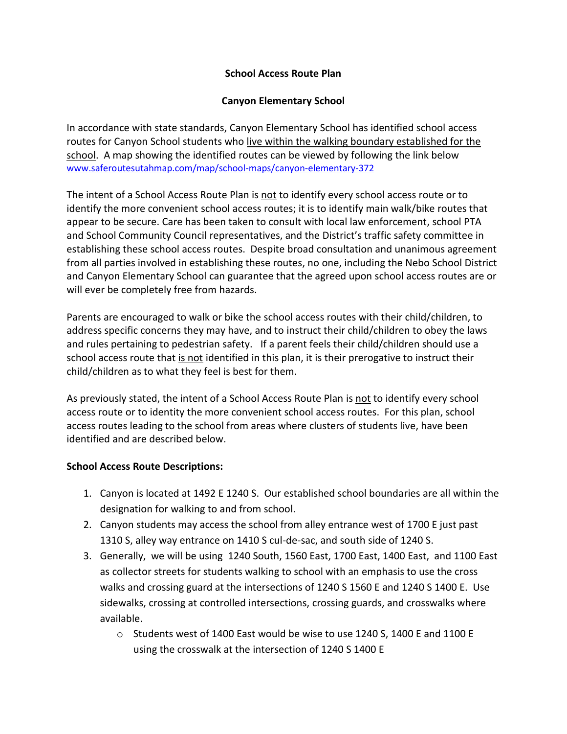## **School Access Route Plan**

## **Canyon Elementary School**

In accordance with state standards, Canyon Elementary School has identified school access routes for Canyon School students who live within the walking boundary established for the school. A map showing the identified routes can be viewed by following the link below [www.saferoutesutahmap.com/map/school-maps/canyon-elementary-372](http://www.saferoutesutahmap.com/map/school-maps/canyon-elementary-372)

The intent of a School Access Route Plan is not to identify every school access route or to identify the more convenient school access routes; it is to identify main walk/bike routes that appear to be secure. Care has been taken to consult with local law enforcement, school PTA and School Community Council representatives, and the District's traffic safety committee in establishing these school access routes. Despite broad consultation and unanimous agreement from all parties involved in establishing these routes, no one, including the Nebo School District and Canyon Elementary School can guarantee that the agreed upon school access routes are or will ever be completely free from hazards.

Parents are encouraged to walk or bike the school access routes with their child/children, to address specific concerns they may have, and to instruct their child/children to obey the laws and rules pertaining to pedestrian safety. If a parent feels their child/children should use a school access route that is not identified in this plan, it is their prerogative to instruct their child/children as to what they feel is best for them.

As previously stated, the intent of a School Access Route Plan is not to identify every school access route or to identity the more convenient school access routes. For this plan, school access routes leading to the school from areas where clusters of students live, have been identified and are described below.

## **School Access Route Descriptions:**

- 1. Canyon is located at 1492 E 1240 S. Our established school boundaries are all within the designation for walking to and from school.
- 2. Canyon students may access the school from alley entrance west of 1700 E just past 1310 S, alley way entrance on 1410 S cul-de-sac, and south side of 1240 S.
- 3. Generally, we will be using 1240 South, 1560 East, 1700 East, 1400 East, and 1100 East as collector streets for students walking to school with an emphasis to use the cross walks and crossing guard at the intersections of 1240 S 1560 E and 1240 S 1400 E. Use sidewalks, crossing at controlled intersections, crossing guards, and crosswalks where available.
	- $\circ$  Students west of 1400 East would be wise to use 1240 S, 1400 E and 1100 E using the crosswalk at the intersection of 1240 S 1400 E